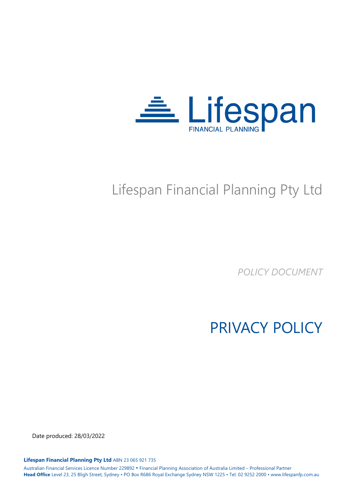

# Lifespan Financial Planning Pty Ltd

*POLICY DOCUMENT*

PRIVACY POLICY

Date produced: 28/03/2022

**Lifespan Financial Planning Pty Ltd** ABN 23 065 921 735

Australian Financial Services Licence Number 229892 • Financial Planning Association of Australia Limited – Professional Partner **Head Office** Level 23, 25 Bligh Street, Sydney • PO Box R686 Royal Exchange Sydney NSW 1225 • Tel: 02 9252 2000 • www.lifespanfp.com.au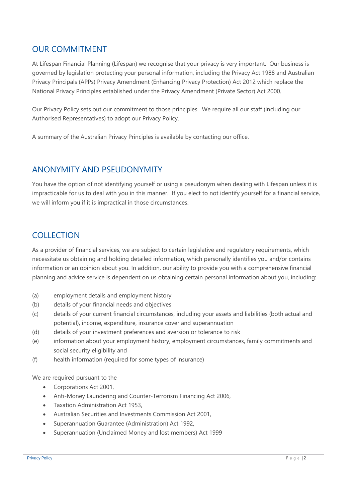### OUR COMMITMENT

At Lifespan Financial Planning (Lifespan) we recognise that your privacy is very important. Our business is governed by legislation protecting your personal information, including the Privacy Act 1988 and Australian Privacy Principals (APPs) Privacy Amendment (Enhancing Privacy Protection) Act 2012 which replace the National Privacy Principles established under the Privacy Amendment (Private Sector) Act 2000.

Our Privacy Policy sets out our commitment to those principles. We require all our staff (including our Authorised Representatives) to adopt our Privacy Policy.

A summary of the Australian Privacy Principles is available by contacting our office.

#### ANONYMITY AND PSEUDONYMITY

You have the option of not identifying yourself or using a pseudonym when dealing with Lifespan unless it is impracticable for us to deal with you in this manner. If you elect to not identify yourself for a financial service, we will inform you if it is impractical in those circumstances.

#### **COLLECTION**

As a provider of financial services, we are subject to certain legislative and regulatory requirements, which necessitate us obtaining and holding detailed information, which personally identifies you and/or contains information or an opinion about you. In addition, our ability to provide you with a comprehensive financial planning and advice service is dependent on us obtaining certain personal information about you, including:

- (a) employment details and employment history
- (b) details of your financial needs and objectives
- (c) details of your current financial circumstances, including your assets and liabilities (both actual and potential), income, expenditure, insurance cover and superannuation
- (d) details of your investment preferences and aversion or tolerance to risk
- (e) information about your employment history, employment circumstances, family commitments and social security eligibility and
- (f) health information (required for some types of insurance)

We are required pursuant to the

- Corporations Act 2001,
- Anti-Money Laundering and Counter-Terrorism Financing Act 2006,
- Taxation Administration Act 1953,
- Australian Securities and Investments Commission Act 2001,
- Superannuation Guarantee (Administration) Act 1992,
- Superannuation (Unclaimed Money and lost members) Act 1999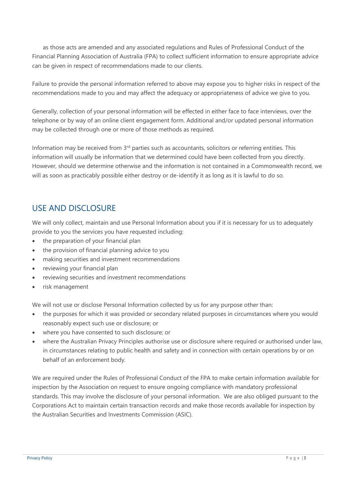as those acts are amended and any associated regulations and Rules of Professional Conduct of the Financial Planning Association of Australia (FPA) to collect sufficient information to ensure appropriate advice can be given in respect of recommendations made to our clients.

Failure to provide the personal information referred to above may expose you to higher risks in respect of the recommendations made to you and may affect the adequacy or appropriateness of advice we give to you.

Generally, collection of your personal information will be effected in either face to face interviews, over the telephone or by way of an online client engagement form. Additional and/or updated personal information may be collected through one or more of those methods as required.

Information may be received from 3<sup>rd</sup> parties such as accountants, solicitors or referring entities. This information will usually be information that we determined could have been collected from you directly. However, should we determine otherwise and the information is not contained in a Commonwealth record, we will as soon as practicably possible either destroy or de-identify it as long as it is lawful to do so.

## USE AND DISCLOSURE

We will only collect, maintain and use Personal Information about you if it is necessary for us to adequately provide to you the services you have requested including:

- the preparation of your financial plan
- the provision of financial planning advice to you
- making securities and investment recommendations
- reviewing your financial plan
- reviewing securities and investment recommendations
- risk management

We will not use or disclose Personal Information collected by us for any purpose other than:

- the purposes for which it was provided or secondary related purposes in circumstances where you would reasonably expect such use or disclosure; or
- where you have consented to such disclosure; or
- where the Australian Privacy Principles authorise use or disclosure where required or authorised under law, in circumstances relating to public health and safety and in connection with certain operations by or on behalf of an enforcement body.

We are required under the Rules of Professional Conduct of the FPA to make certain information available for inspection by the Association on request to ensure ongoing compliance with mandatory professional standards. This may involve the disclosure of your personal information. We are also obliged pursuant to the Corporations Act to maintain certain transaction records and make those records available for inspection by the Australian Securities and Investments Commission (ASIC).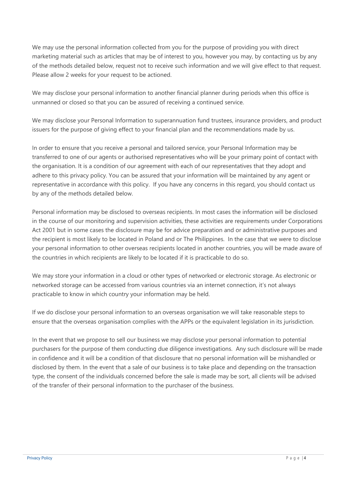We may use the personal information collected from you for the purpose of providing you with direct marketing material such as articles that may be of interest to you, however you may, by contacting us by any of the methods detailed below, request not to receive such information and we will give effect to that request. Please allow 2 weeks for your request to be actioned.

We may disclose your personal information to another financial planner during periods when this office is unmanned or closed so that you can be assured of receiving a continued service.

We may disclose your Personal Information to superannuation fund trustees, insurance providers, and product issuers for the purpose of giving effect to your financial plan and the recommendations made by us.

In order to ensure that you receive a personal and tailored service, your Personal Information may be transferred to one of our agents or authorised representatives who will be your primary point of contact with the organisation. It is a condition of our agreement with each of our representatives that they adopt and adhere to this privacy policy. You can be assured that your information will be maintained by any agent or representative in accordance with this policy. If you have any concerns in this regard, you should contact us by any of the methods detailed below.

Personal information may be disclosed to overseas recipients. In most cases the information will be disclosed in the course of our monitoring and supervision activities, these activities are requirements under Corporations Act 2001 but in some cases the disclosure may be for advice preparation and or administrative purposes and the recipient is most likely to be located in Poland and or The Philippines. In the case that we were to disclose your personal information to other overseas recipients located in another countries, you will be made aware of the countries in which recipients are likely to be located if it is practicable to do so.

We may store your information in a cloud or other types of networked or electronic storage. As electronic or networked storage can be accessed from various countries via an internet connection, it's not always practicable to know in which country your information may be held.

If we do disclose your personal information to an overseas organisation we will take reasonable steps to ensure that the overseas organisation complies with the APPs or the equivalent legislation in its jurisdiction.

In the event that we propose to sell our business we may disclose your personal information to potential purchasers for the purpose of them conducting due diligence investigations. Any such disclosure will be made in confidence and it will be a condition of that disclosure that no personal information will be mishandled or disclosed by them. In the event that a sale of our business is to take place and depending on the transaction type, the consent of the individuals concerned before the sale is made may be sort, all clients will be advised of the transfer of their personal information to the purchaser of the business.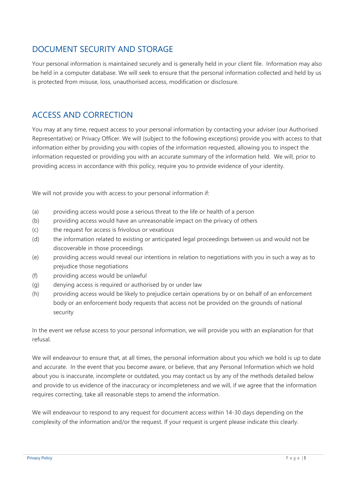## DOCUMENT SECURITY AND STORAGE

Your personal information is maintained securely and is generally held in your client file. Information may also be held in a computer database. We will seek to ensure that the personal information collected and held by us is protected from misuse, loss, unauthorised access, modification or disclosure.

## ACCESS AND CORRECTION

You may at any time, request access to your personal information by contacting your adviser (our Authorised Representative) or Privacy Officer. We will (subject to the following exceptions) provide you with access to that information either by providing you with copies of the information requested, allowing you to inspect the information requested or providing you with an accurate summary of the information held. We will, prior to providing access in accordance with this policy, require you to provide evidence of your identity.

We will not provide you with access to your personal information if:

- (a) providing access would pose a serious threat to the life or health of a person
- (b) providing access would have an unreasonable impact on the privacy of others
- (c) the request for access is frivolous or vexatious
- (d) the information related to existing or anticipated legal proceedings between us and would not be discoverable in those proceedings
- (e) providing access would reveal our intentions in relation to negotiations with you in such a way as to prejudice those negotiations
- (f) providing access would be unlawful
- (g) denying access is required or authorised by or under law
- (h) providing access would be likely to prejudice certain operations by or on behalf of an enforcement body or an enforcement body requests that access not be provided on the grounds of national security

In the event we refuse access to your personal information, we will provide you with an explanation for that refusal.

We will endeavour to ensure that, at all times, the personal information about you which we hold is up to date and accurate. In the event that you become aware, or believe, that any Personal Information which we hold about you is inaccurate, incomplete or outdated, you may contact us by any of the methods detailed below and provide to us evidence of the inaccuracy or incompleteness and we will, if we agree that the information requires correcting, take all reasonable steps to amend the information.

We will endeavour to respond to any request for document access within 14-30 days depending on the complexity of the information and/or the request. If your request is urgent please indicate this clearly.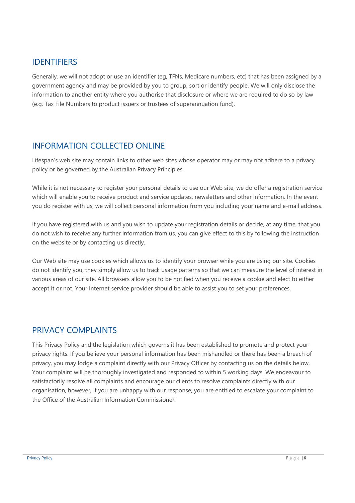#### IDENTIFIERS

Generally, we will not adopt or use an identifier (eg, TFNs, Medicare numbers, etc) that has been assigned by a government agency and may be provided by you to group, sort or identify people. We will only disclose the information to another entity where you authorise that disclosure or where we are required to do so by law (e.g. Tax File Numbers to product issuers or trustees of superannuation fund).

## INFORMATION COLLECTED ONLINE

Lifespan's web site may contain links to other web sites whose operator may or may not adhere to a privacy policy or be governed by the Australian Privacy Principles.

While it is not necessary to register your personal details to use our Web site, we do offer a registration service which will enable you to receive product and service updates, newsletters and other information. In the event you do register with us, we will collect personal information from you including your name and e-mail address.

If you have registered with us and you wish to update your registration details or decide, at any time, that you do not wish to receive any further information from us, you can give effect to this by following the instruction on the website or by contacting us directly.

Our Web site may use cookies which allows us to identify your browser while you are using our site. Cookies do not identify you, they simply allow us to track usage patterns so that we can measure the level of interest in various areas of our site. All browsers allow you to be notified when you receive a cookie and elect to either accept it or not. Your Internet service provider should be able to assist you to set your preferences.

#### PRIVACY COMPLAINTS

This Privacy Policy and the legislation which governs it has been established to promote and protect your privacy rights. If you believe your personal information has been mishandled or there has been a breach of privacy, you may lodge a complaint directly with our Privacy Officer by contacting us on the details below. Your complaint will be thoroughly investigated and responded to within 5 working days. We endeavour to satisfactorily resolve all complaints and encourage our clients to resolve complaints directly with our organisation, however, if you are unhappy with our response, you are entitled to escalate your complaint to the Office of the Australian Information Commissioner.